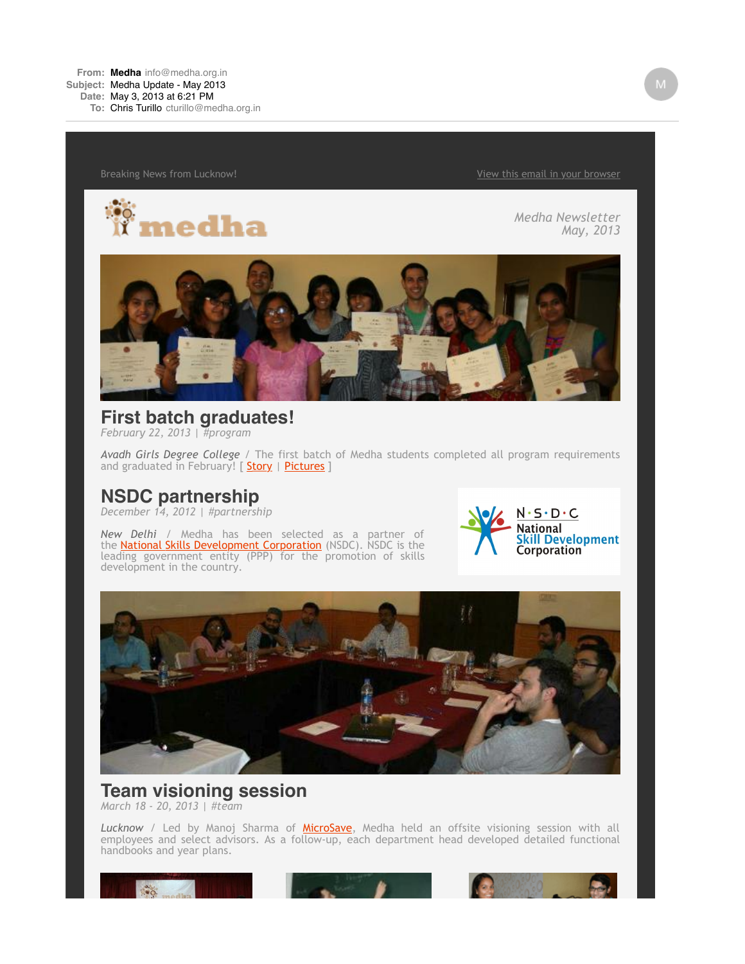**From: [Medha](mailto:Medhainfo@medha.org.in)** [info@medha.org.in](mailto:Medhainfo@medha.org.in) **Subject:** Medha Update - May 2013

**Date:** May 3, 2013 at 6:21 PM

**To:** Chris [Turillo](mailto:Turillocturillo@medha.org.in) [cturillo@medha.org.in](mailto:Turillocturillo@medha.org.in)

Breaking News from Lucknow! The state of the state of the state of the [View this email in your browser](http://us4.campaign-archive1.com/?u=7d2323ff1604617c4c832a812&id=1a0a72bc55&e=9b7fd485ab)



*Medha Newsletter May, 2013*



**First batch graduates!** *February 22, 2013 | #program*

*Avadh Girls Degree College* / The first batch of Medha students completed all program requirements and graduated in February! [ [S](http://medha.us4.list-manage.com/track/click?u=7d2323ff1604617c4c832a812&id=185957d1dd&e=9b7fd485ab)[tory](http://medha.us4.list-manage.com/track/click?u=7d2323ff1604617c4c832a812&id=d050198a11&e=9b7fd485ab) | [Pictures](http://medha.us4.list-manage.com/track/click?u=7d2323ff1604617c4c832a812&id=fba14c3390&e=9b7fd485ab) ]

# **NSDC partnership**

*December 14, 2012 | #partnership*

*New Delhi* / Medha has been selected as a partner of the <u>National Skills Development Corporation</u> (NSDC). NSDC is the leading government entity (PPP) for the promotion of skills development in the country.





#### **Team visioning session** *March 18 - 20, 2013 | #team*

*Lucknow* / Led by Manoj Sharma of [MicroSave,](http://medha.us4.list-manage2.com/track/click?u=7d2323ff1604617c4c832a812&id=a5374b8c7e&e=9b7fd485ab) Medha held an offsite visioning session with all employees and select advisors. As a follow-up, each department head developed detailed functional handbooks and year plans.